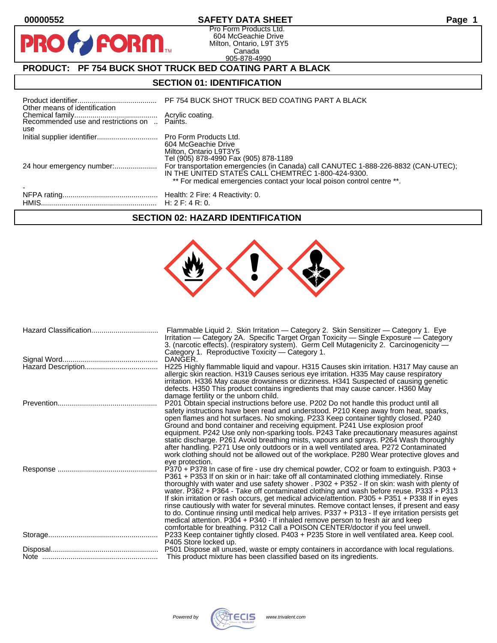PRO

### **00000552 SAFETY DATA SHEET Page 1**

Pro Form Products Ltd. 604 McGeachie Drive Milton, Ontario, L9T 3Y5 Canada 905-878-4990

# **PRODUCT: PF 754 BUCK SHOT TRUCK BED COATING PART A BLACK**

**FORM** 

#### **SECTION 01: IDENTIFICATION**

| Other means of identification |                                                                                                                                                                                                                     |
|-------------------------------|---------------------------------------------------------------------------------------------------------------------------------------------------------------------------------------------------------------------|
| use                           |                                                                                                                                                                                                                     |
|                               | 604 McGeachie Drive<br>Milton, Ontario L9T3Y5<br>Tel (905) 878-4990 Fax (905) 878-1189                                                                                                                              |
|                               | For transportation emergencies (in Canada) call CANUTEC 1-888-226-8832 (CAN-UTEC);<br>IN THE UNITED STATES CALL CHEMTREC 1-800-424-9300.<br>** For medical emergencies contact your local poison control centre **. |
|                               |                                                                                                                                                                                                                     |

#### **SECTION 02: HAZARD IDENTIFICATION**

| Hazard Classification | Flammable Liquid 2. Skin Irritation - Category 2. Skin Sensitizer - Category 1. Eye<br>Irritation - Category 2A. Specific Target Organ Toxicity - Single Exposure - Category<br>3. (narcotic effects). (respiratory system). Germ Cell Mutagenicity 2. Carcinogenicity —<br>Category 1. Reproductive Toxicity - Category 1.                                                                                                                                                                                                                                                                                                                                                                                                                                                                                                                              |
|-----------------------|----------------------------------------------------------------------------------------------------------------------------------------------------------------------------------------------------------------------------------------------------------------------------------------------------------------------------------------------------------------------------------------------------------------------------------------------------------------------------------------------------------------------------------------------------------------------------------------------------------------------------------------------------------------------------------------------------------------------------------------------------------------------------------------------------------------------------------------------------------|
|                       | DANGER.<br>H225 Highly flammable liquid and vapour. H315 Causes skin irritation. H317 May cause an<br>allergic skin reaction. H319 Causes serious eye irritation. H335 May cause respiratory<br>irritation. H336 May cause drowsiness or dizziness. H341 Suspected of causing genetic<br>defects. H350 This product contains ingredients that may cause cancer. H360 May<br>damage fertility or the unborn child.                                                                                                                                                                                                                                                                                                                                                                                                                                        |
|                       | P201 Obtain special instructions before use. P202 Do not handle this product until all<br>safety instructions have been read and understood. P210 Keep away from heat, sparks,<br>open flames and hot surfaces. No smoking. P233 Keep container tightly closed. P240<br>Ground and bond container and receiving equipment. P241 Use explosion proof<br>equipment. P242 Use only non-sparking tools. P243 Take precautionary measures against<br>static discharge. P261 Avoid breathing mists, vapours and sprays. P264 Wash thoroughly<br>after handling. P271 Use only outdoors or in a well ventilated area. P272 Contaminated<br>work clothing should not be allowed out of the workplace. P280 Wear protective gloves and<br>eye protection.                                                                                                         |
|                       | P370 + P378 In case of fire - use dry chemical powder, CO2 or foam to extinguish. P303 +<br>P361 + P353 If on skin or in hair: take off all contaminated clothing immediately. Rinse<br>thoroughly with water and use safety shower . P302 + P352 - If on skin: wash with plenty of<br>water. P362 + P364 - Take off contaminated clothing and wash before reuse. P333 + P313<br>If skin irritation or rash occurs, get medical advice/attention. P305 + P351 + P338 If in eyes<br>rinse cautiously with water for several minutes. Remove contact lenses, if present and easy<br>to do. Continue rinsing until medical help arrives. P337 + P313 - If eye irritation persists get<br>medical attention. P304 + P340 - If inhaled remove person to fresh air and keep<br>comfortable for breathing. P312 Call a POISON CENTER/doctor if you feel unwell. |
|                       | P233 Keep container tightly closed. P403 + P235 Store in well ventilated area. Keep cool.<br>P405 Store locked up.                                                                                                                                                                                                                                                                                                                                                                                                                                                                                                                                                                                                                                                                                                                                       |
|                       | P501 Dispose all unused, waste or empty containers in accordance with local regulations.<br>This product mixture has been classified based on its ingredients.                                                                                                                                                                                                                                                                                                                                                                                                                                                                                                                                                                                                                                                                                           |
|                       |                                                                                                                                                                                                                                                                                                                                                                                                                                                                                                                                                                                                                                                                                                                                                                                                                                                          |

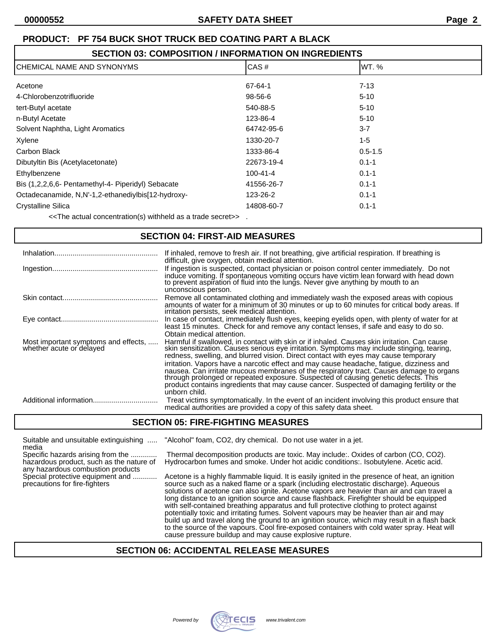### **SECTION 03: COMPOSITION / INFORMATION ON INGREDIENTS**

| ICHEMICAL NAME AND SYNONYMS                        | CAS#           | WT. %       |  |
|----------------------------------------------------|----------------|-------------|--|
| Acetone                                            | 67-64-1        | $7 - 13$    |  |
| 4-Chlorobenzotrifluoride                           | 98-56-6        | $5 - 10$    |  |
| tert-Butyl acetate                                 | 540-88-5       | $5 - 10$    |  |
| n-Butyl Acetate                                    | 123-86-4       | $5 - 10$    |  |
| Solvent Naphtha, Light Aromatics                   | 64742-95-6     | $3 - 7$     |  |
| Xylene                                             | 1330-20-7      | $1 - 5$     |  |
| Carbon Black                                       | 1333-86-4      | $0.5 - 1.5$ |  |
| Dibutyltin Bis (Acetylacetonate)                   | 22673-19-4     | $0.1 - 1$   |  |
| Ethylbenzene                                       | $100 - 41 - 4$ | $0.1 - 1$   |  |
| Bis (1,2,2,6,6- Pentamethyl-4- Piperidyl) Sebacate | 41556-26-7     | $0.1 - 1$   |  |
| Octadecanamide, N,N'-1,2-ethanediylbis[12-hydroxy- | 123-26-2       | $0.1 - 1$   |  |
| <b>Crystalline Silica</b>                          | 14808-60-7     | $0.1 - 1$   |  |
|                                                    |                |             |  |

<<The actual concentration(s) withheld as a trade secret>> .

#### **SECTION 04: FIRST-AID MEASURES**

| Inhalation                                                       | If inhaled, remove to fresh air. If not breathing, give artificial respiration. If breathing is<br>difficult, give oxygen, obtain medical attention.                                                                                                                                                                                                                                                                                                                                                                                                                                                                                                                         |
|------------------------------------------------------------------|------------------------------------------------------------------------------------------------------------------------------------------------------------------------------------------------------------------------------------------------------------------------------------------------------------------------------------------------------------------------------------------------------------------------------------------------------------------------------------------------------------------------------------------------------------------------------------------------------------------------------------------------------------------------------|
|                                                                  | If ingestion is suspected, contact physician or poison control center immediately. Do not<br>induce vomiting. If spontaneous vomiting occurs have victim lean forward with head down to prevent aspiration of fluid into the lungs. Never give anything by mouth to an<br>unconscious person.                                                                                                                                                                                                                                                                                                                                                                                |
|                                                                  | Remove all contaminated clothing and immediately wash the exposed areas with copious<br>amounts of water for a minimum of 30 minutes or up to 60 minutes for critical body areas. If<br>irritation persists, seek medical attention.                                                                                                                                                                                                                                                                                                                                                                                                                                         |
|                                                                  | In case of contact, immediately flush eyes, keeping eyelids open, with plenty of water for at<br>least 15 minutes. Check for and remove any contact lenses, if safe and easy to do so.<br>Obtain medical attention.                                                                                                                                                                                                                                                                                                                                                                                                                                                          |
| Most important symptoms and effects,<br>whether acute or delayed | Harmful if swallowed, in contact with skin or if inhaled. Causes skin irritation. Can cause<br>skin sensitization. Causes serious eye irritation. Symptoms may include stinging, tearing,<br>redness, swelling, and blurred vision. Direct contact with eyes may cause temporary<br>irritation. Vapors have a narcotic effect and may cause headache, fatigue, dizziness and<br>nausea. Can irritate mucous membranes of the respiratory tract. Causes damage to organs<br>through prolonged or repeated exposure. Suspected of causing genetic defects. This<br>product contains ingredients that may cause cancer. Suspected of damaging fertility or the<br>unborn child. |
| Additional information                                           | Treat victims symptomatically. In the event of an incident involving this product ensure that<br>medical authorities are provided a copy of this safety data sheet.                                                                                                                                                                                                                                                                                                                                                                                                                                                                                                          |

#### **SECTION 05: FIRE-FIGHTING MEASURES**

Suitable and unsuitable extinguishing ..... "Alcohol" foam, CO2, dry chemical. Do not use water in a jet.

media<br>Specific hazards arising from the ............ any hazardous combustion products<br>Special protective equipment and ............

Thermal decomposition products are toxic. May include:. Oxides of carbon (CO, CO2). hazardous product, such as the nature of Hydrocarbon fumes and smoke. Under hot acidic conditions:. Isobutylene. Acetic acid.

Acetone is a highly flammable liquid. It is easily ignited in the presence of heat, an ignition precautions for fire-fighters source such as a naked flame or a spark (including electrostatic discharge). Aqueous solutions of acetone can also ignite. Acetone vapors are heavier than air and can travel a long distance to an ignition source and cause flashback. Firefighter should be equipped with self-contained breathing apparatus and full protective clothing to protect against potentially toxic and irritating fumes. Solvent vapours may be heavier than air and may build up and travel along the ground to an ignition source, which may result in a flash back to the source of the vapours. Cool fire-exposed containers with cold water spray. Heat will cause pressure buildup and may cause explosive rupture.

#### **SECTION 06: ACCIDENTAL RELEASE MEASURES**

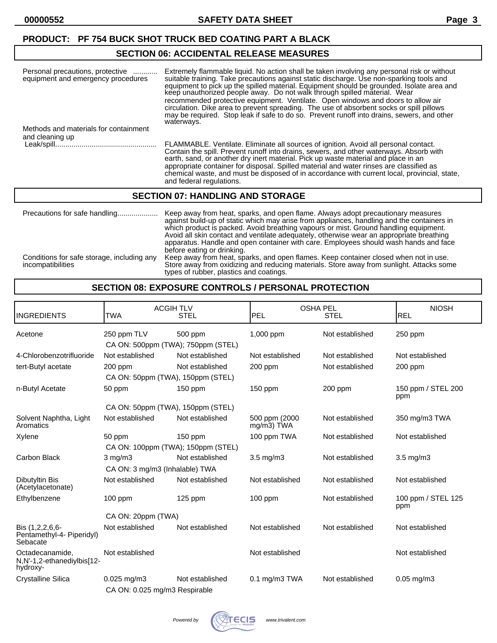# **SECTION 06: ACCIDENTAL RELEASE MEASURES**

| Personal precautions, protective<br>equipment and emergency procedures | Extremely flammable liquid. No action shall be taken involving any personal risk or without<br>suitable training. Take precautions against static discharge. Use non-sparking tools and<br>equipment to pick up the spilled material. Equipment should be grounded. Isolate area and<br>keep unauthorized people away. Do not walk through spilled material. Wear<br>recommended protective equipment. Ventilate. Open windows and doors to allow air<br>circulation. Dike area to prevent spreading. The use of absorbent socks or spill pillows<br>may be required. Stop leak if safe to do so. Prevent runoff into drains, sewers, and other<br>waterways. |
|------------------------------------------------------------------------|---------------------------------------------------------------------------------------------------------------------------------------------------------------------------------------------------------------------------------------------------------------------------------------------------------------------------------------------------------------------------------------------------------------------------------------------------------------------------------------------------------------------------------------------------------------------------------------------------------------------------------------------------------------|
| Methods and materials for containment                                  |                                                                                                                                                                                                                                                                                                                                                                                                                                                                                                                                                                                                                                                               |
| and cleaning up                                                        | FLAMMABLE. Ventilate. Eliminate all sources of ignition. Avoid all personal contact.<br>Contain the spill. Prevent runoff into drains, sewers, and other waterways. Absorb with<br>earth, sand, or another dry inert material. Pick up waste material and place in an<br>appropriate container for disposal. Spilled material and water rinses are classified as<br>chemical waste, and must be disposed of in accordance with current local, provincial, state,<br>and federal regulations.                                                                                                                                                                  |

#### **SECTION 07: HANDLING AND STORAGE**

| Precautions for safe handling                                   | Keep away from heat, sparks, and open flame. Always adopt precautionary measures<br>against build-up of static which may arise from appliances, handling and the containers in<br>which product is packed. Avoid breathing vapours or mist. Ground handling equipment.<br>Avoid all skin contact and ventilate adequately, otherwise wear an appropriate breathing<br>apparatus. Handle and open container with care. Employees should wash hands and face<br>before eating or drinking. |
|-----------------------------------------------------------------|------------------------------------------------------------------------------------------------------------------------------------------------------------------------------------------------------------------------------------------------------------------------------------------------------------------------------------------------------------------------------------------------------------------------------------------------------------------------------------------|
| Conditions for safe storage, including any<br>incompatibilities | Keep away from heat, sparks, and open flames. Keep container closed when not in use.<br>Store away from oxidizing and reducing materials. Store away from sunlight. Attacks some<br>types of rubber, plastics and coatings.                                                                                                                                                                                                                                                              |

#### **SECTION 08: EXPOSURE CONTROLS / PERSONAL PROTECTION**

| <b>INGREDIENTS</b>                                        | <b>ACGIHTLV</b><br><b>TWA</b>                     | <b>STEL</b>     | <b>OSHA PEL</b><br><b>PEL</b> | <b>STEL</b>     | <b>NIOSH</b><br>REL       |
|-----------------------------------------------------------|---------------------------------------------------|-----------------|-------------------------------|-----------------|---------------------------|
| Acetone                                                   | 250 ppm TLV<br>CA ON: 500ppm (TWA); 750ppm (STEL) | 500 ppm         | 1,000 ppm                     | Not established | $250$ ppm                 |
| 4-Chlorobenzotrifluoride                                  | Not established                                   | Not established | Not established               | Not established | Not established           |
| tert-Butyl acetate                                        | 200 ppm<br>CA ON: 50ppm (TWA), 150ppm (STEL)      | Not established | 200 ppm                       | Not established | 200 ppm                   |
| n-Butyl Acetate                                           | 50 ppm                                            | 150 ppm         | 150 ppm                       | 200 ppm         | 150 ppm / STEL 200<br>ppm |
|                                                           | CA ON: 50ppm (TWA), 150ppm (STEL)                 |                 |                               |                 |                           |
| Solvent Naphtha, Light<br>Aromatics                       | Not established                                   | Not established | 500 ppm (2000<br>mg/m3) TWA   | Not established | 350 mg/m3 TWA             |
| Xylene                                                    | 50 ppm<br>CA ON: 100ppm (TWA); 150ppm (STEL)      | 150 ppm         | 100 ppm TWA                   | Not established | Not established           |
| Carbon Black                                              | $3$ mg/m $3$                                      | Not established | $3.5 \text{ mg/m}$            | Not established | $3.5 \text{ mg/m}$        |
|                                                           | CA ON: 3 mg/m3 (Inhalable) TWA                    |                 |                               |                 |                           |
| Dibutyltin Bis<br>(Acetylacetonate)                       | Not established                                   | Not established | Not established               | Not established | Not established           |
| Ethylbenzene                                              | 100 ppm                                           | 125 ppm         | $100$ ppm                     | Not established | 100 ppm / STEL 125<br>ppm |
|                                                           | CA ON: 20ppm (TWA)                                |                 |                               |                 |                           |
| Bis (1,2,2,6,6-<br>Pentamethyl-4- Piperidyl)<br>Sebacate  | Not established                                   | Not established | Not established               | Not established | Not established           |
| Octadecanamide,<br>N,N'-1,2-ethanediylbis[12-<br>hydroxy- | Not established                                   |                 | Not established               |                 | Not established           |
| <b>Crystalline Silica</b>                                 | 0.025 mg/m3                                       | Not established | 0.1 mg/m3 TWA                 | Not established | $0.05$ mg/m $3$           |
|                                                           | CA ON: 0.025 mg/m3 Respirable                     |                 |                               |                 |                           |

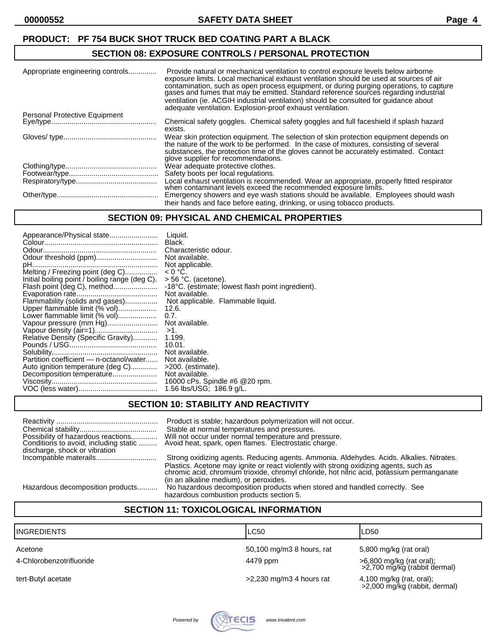#### **SECTION 08: EXPOSURE CONTROLS / PERSONAL PROTECTION**

| Appropriate engineering controls | Provide natural or mechanical ventilation to control exposure levels below airborne<br>exposure limits. Local mechanical exhaust ventilation should be used at sources of air<br>contamination, such as open process equipment, or during purging operations, to capture gases and fumes that may be emitted. Standard reference sources regarding industrial<br>ventilation (ie. ACGIH industrial ventilation) should be consulted for quidance about<br>adequate ventilation. Explosion-proof exhaust ventilation. |
|----------------------------------|----------------------------------------------------------------------------------------------------------------------------------------------------------------------------------------------------------------------------------------------------------------------------------------------------------------------------------------------------------------------------------------------------------------------------------------------------------------------------------------------------------------------|
| Personal Protective Equipment    |                                                                                                                                                                                                                                                                                                                                                                                                                                                                                                                      |
|                                  | Chemical safety goggles. Chemical safety goggles and full faceshield if splash hazard<br>exists.                                                                                                                                                                                                                                                                                                                                                                                                                     |
|                                  | Wear skin protection equipment. The selection of skin protection equipment depends on<br>the nature of the work to be performed. In the case of mixtures, consisting of several<br>substances, the protection time of the gloves cannot be accurately estimated. Contact<br>glove supplier for recommendations.                                                                                                                                                                                                      |
|                                  | Wear adequate protective clothes.                                                                                                                                                                                                                                                                                                                                                                                                                                                                                    |
|                                  | Safety boots per local regulations.                                                                                                                                                                                                                                                                                                                                                                                                                                                                                  |
|                                  | Local exhaust ventilation is recommended. Wear an appropriate, properly fitted respirator<br>when contaminant levels exceed the recommended exposure limits.                                                                                                                                                                                                                                                                                                                                                         |
|                                  | Emergency showers and eye wash stations should be available. Employees should wash                                                                                                                                                                                                                                                                                                                                                                                                                                   |
|                                  | their hands and face before eating, drinking, or using tobacco products.                                                                                                                                                                                                                                                                                                                                                                                                                                             |

#### **SECTION 09: PHYSICAL AND CHEMICAL PROPERTIES**

| Appearance/Physical state                      | Liauid.                                           |
|------------------------------------------------|---------------------------------------------------|
|                                                | Black.                                            |
|                                                | Characteristic odour.                             |
| Odour threshold (ppm)                          | Not available.                                    |
|                                                | Not applicable.                                   |
| Melting / Freezing point (deg C)               | $< 0 °C$ .                                        |
| Initial boiling point / boiling range (deg C). | $>$ 56 °C. (acetone).                             |
| Flash point (deg C), method                    | -18°C. (estimate; lowest flash point ingredient). |
|                                                | Not available.                                    |
| Flammability (solids and gases)                | Not applicable. Flammable liquid.                 |
| Upper flammable limit (% vol)                  | 12.6.                                             |
| Lower flammable limit (% vol)                  | 0.7.                                              |
| Vapour pressure (mm Hg)                        | Not available.                                    |
|                                                | $>1$ .                                            |
| Relative Density (Specific Gravity)            | 1.199.                                            |
|                                                | 10.01.                                            |
|                                                | Not available.                                    |
| Partition coefficient - n-octanol/water        | Not available.                                    |
| Auto ignition temperature (deg C)              | >200. (estimate).                                 |
| Decomposition temperature                      | Not available.                                    |
|                                                | 16000 cPs. Spindle #6 @20 rpm.                    |
|                                                | 1.56 lbs/USG; 186.9 g/L.                          |
|                                                |                                                   |

#### **SECTION 10: STABILITY AND REACTIVITY**

| Possibility of hazardous reactions<br>Conditions to avoid, including static<br>discharge, shock or vibration | Product is stable; hazardous polymerization will not occur.<br>Stable at normal temperatures and pressures.<br>Will not occur under normal temperature and pressure.<br>Avoid heat, spark, open flames. Electrostatic charge. |
|--------------------------------------------------------------------------------------------------------------|-------------------------------------------------------------------------------------------------------------------------------------------------------------------------------------------------------------------------------|
|                                                                                                              | Strong oxidizing agents. Reducing agents. Ammonia. Aldehydes. Acids. Alkalies. Nitrates.                                                                                                                                      |
|                                                                                                              | Plastics. Acetone may ignite or react violently with strong oxidizing agents, such as<br>chromic acid, chromiúm trioxide, chromyl chloride, hot nitric acid, potassium permanganate<br>(in an alkaline medium), or peroxides. |
| Hazardous decomposition products                                                                             | No hazardous decomposition products when stored and handled correctly. See                                                                                                                                                    |
|                                                                                                              | hazardous combustion products section 5.                                                                                                                                                                                      |

# **SECTION 11: TOXICOLOGICAL INFORMATION**

| <b>INGREDIENTS</b>       | LC50                       | LD50                                                      |
|--------------------------|----------------------------|-----------------------------------------------------------|
| Acetone                  | 50,100 mg/m3 8 hours, rat  | 5,800 mg/kg (rat oral)                                    |
| 4-Chlorobenzotrifluoride | 4479 ppm                   | >6,800 mg/kg (rat oral);<br>>2,700 mg/kg (rabbit dermal)  |
| tert-Butyl acetate       | $>2,230$ mg/m3 4 hours rat | 4,100 mg/kg (rat, oral);<br>>2,000 mg/kg (rabbit, dermal) |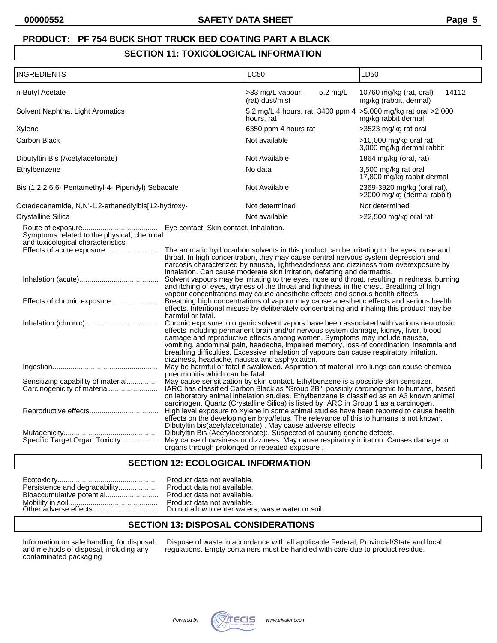### **SECTION 11: TOXICOLOGICAL INFORMATION**

| <b>INGREDIENTS</b>                                                                                           |                                                                                                                                                                                                                                                                                                                                                                                                                                                                                                                                                                                                                                                                                                                                                                                                                                                                                                                                                                                                                                                                                                                                                                                                                         | <b>LC50</b>                                                                                                                                                                                                                                                                                                                                                                                                                                                                                                                                                                                                                                                                                                                                                                                                                                                                                                                                                                                                                                                                                   | LD50                                                       |
|--------------------------------------------------------------------------------------------------------------|-------------------------------------------------------------------------------------------------------------------------------------------------------------------------------------------------------------------------------------------------------------------------------------------------------------------------------------------------------------------------------------------------------------------------------------------------------------------------------------------------------------------------------------------------------------------------------------------------------------------------------------------------------------------------------------------------------------------------------------------------------------------------------------------------------------------------------------------------------------------------------------------------------------------------------------------------------------------------------------------------------------------------------------------------------------------------------------------------------------------------------------------------------------------------------------------------------------------------|-----------------------------------------------------------------------------------------------------------------------------------------------------------------------------------------------------------------------------------------------------------------------------------------------------------------------------------------------------------------------------------------------------------------------------------------------------------------------------------------------------------------------------------------------------------------------------------------------------------------------------------------------------------------------------------------------------------------------------------------------------------------------------------------------------------------------------------------------------------------------------------------------------------------------------------------------------------------------------------------------------------------------------------------------------------------------------------------------|------------------------------------------------------------|
| n-Butyl Acetate                                                                                              |                                                                                                                                                                                                                                                                                                                                                                                                                                                                                                                                                                                                                                                                                                                                                                                                                                                                                                                                                                                                                                                                                                                                                                                                                         | >33 mg/L vapour,<br>5.2 mg/L<br>(rat) dust/mist                                                                                                                                                                                                                                                                                                                                                                                                                                                                                                                                                                                                                                                                                                                                                                                                                                                                                                                                                                                                                                               | 14112<br>10760 mg/kg (rat, oral)<br>mg/kg (rabbit, dermal) |
| Solvent Naphtha, Light Aromatics                                                                             |                                                                                                                                                                                                                                                                                                                                                                                                                                                                                                                                                                                                                                                                                                                                                                                                                                                                                                                                                                                                                                                                                                                                                                                                                         | 5.2 mg/L 4 hours, rat 3400 ppm 4 > 5,000 mg/kg rat oral > 2,000<br>hours, rat                                                                                                                                                                                                                                                                                                                                                                                                                                                                                                                                                                                                                                                                                                                                                                                                                                                                                                                                                                                                                 | mg/kg rabbit dermal                                        |
| Xylene                                                                                                       |                                                                                                                                                                                                                                                                                                                                                                                                                                                                                                                                                                                                                                                                                                                                                                                                                                                                                                                                                                                                                                                                                                                                                                                                                         | 6350 ppm 4 hours rat                                                                                                                                                                                                                                                                                                                                                                                                                                                                                                                                                                                                                                                                                                                                                                                                                                                                                                                                                                                                                                                                          | >3523 mg/kg rat oral                                       |
| Carbon Black                                                                                                 |                                                                                                                                                                                                                                                                                                                                                                                                                                                                                                                                                                                                                                                                                                                                                                                                                                                                                                                                                                                                                                                                                                                                                                                                                         | Not available                                                                                                                                                                                                                                                                                                                                                                                                                                                                                                                                                                                                                                                                                                                                                                                                                                                                                                                                                                                                                                                                                 | >10,000 mg/kg oral rat<br>3,000 mg/kg dermal rabbit        |
| Dibutyltin Bis (Acetylacetonate)                                                                             |                                                                                                                                                                                                                                                                                                                                                                                                                                                                                                                                                                                                                                                                                                                                                                                                                                                                                                                                                                                                                                                                                                                                                                                                                         | Not Available                                                                                                                                                                                                                                                                                                                                                                                                                                                                                                                                                                                                                                                                                                                                                                                                                                                                                                                                                                                                                                                                                 | 1864 mg/kg (oral, rat)                                     |
| Ethylbenzene                                                                                                 |                                                                                                                                                                                                                                                                                                                                                                                                                                                                                                                                                                                                                                                                                                                                                                                                                                                                                                                                                                                                                                                                                                                                                                                                                         | No data                                                                                                                                                                                                                                                                                                                                                                                                                                                                                                                                                                                                                                                                                                                                                                                                                                                                                                                                                                                                                                                                                       | 3,500 mg/kg rat oral<br>17,800 mg/kg rabbit dermal         |
| Bis (1,2,2,6,6- Pentamethyl-4- Piperidyl) Sebacate                                                           |                                                                                                                                                                                                                                                                                                                                                                                                                                                                                                                                                                                                                                                                                                                                                                                                                                                                                                                                                                                                                                                                                                                                                                                                                         | Not Available                                                                                                                                                                                                                                                                                                                                                                                                                                                                                                                                                                                                                                                                                                                                                                                                                                                                                                                                                                                                                                                                                 | 2369-3920 mg/kg (oral rat),<br>>2000 mg/kg (dermal rabbit) |
| Octadecanamide, N,N'-1,2-ethanediylbis[12-hydroxy-                                                           |                                                                                                                                                                                                                                                                                                                                                                                                                                                                                                                                                                                                                                                                                                                                                                                                                                                                                                                                                                                                                                                                                                                                                                                                                         | Not determined                                                                                                                                                                                                                                                                                                                                                                                                                                                                                                                                                                                                                                                                                                                                                                                                                                                                                                                                                                                                                                                                                | Not determined                                             |
| <b>Crystalline Silica</b>                                                                                    |                                                                                                                                                                                                                                                                                                                                                                                                                                                                                                                                                                                                                                                                                                                                                                                                                                                                                                                                                                                                                                                                                                                                                                                                                         | Not available                                                                                                                                                                                                                                                                                                                                                                                                                                                                                                                                                                                                                                                                                                                                                                                                                                                                                                                                                                                                                                                                                 | >22,500 mg/kg oral rat                                     |
| Symptoms related to the physical, chemical<br>and toxicological characteristics<br>Effects of acute exposure | Eye contact. Skin contact. Inhalation.<br>harmful or fatal.                                                                                                                                                                                                                                                                                                                                                                                                                                                                                                                                                                                                                                                                                                                                                                                                                                                                                                                                                                                                                                                                                                                                                             | The aromatic hydrocarbon solvents in this product can be irritating to the eyes, nose and<br>throat. In high concentration, they may cause central nervous system depression and<br>narcosis characterized by nausea, lightheadedness and dizziness from overexposure by<br>inhalation. Can cause moderate skin irritation, defatting and dermatitis.<br>Solvent vapours may be irritating to the eyes, nose and throat, resulting in redness, burning<br>and itching of eyes, dryness of the throat and tightness in the chest. Breathing of high<br>vapour concentrations may cause anesthetic effects and serious health effects.<br>Breathing high concentrations of vapour may cause anesthetic effects and serious health<br>effects. Intentional misuse by deliberately concentrating and inhaling this product may be<br>Chronic exposure to organic solvent vapors have been associated with various neurotoxic<br>effects including permanent brain and/or nervous system damage, kidney, liver, blood<br>damage and reproductive effects among women. Symptoms may include nausea, |                                                            |
| Sensitizing capability of material<br>Carcinogenicity of material<br>Specific Target Organ Toxicity          | vomiting, abdominal pain, headache, impaired memory, loss of coordination, insomnia and<br>breathing difficulties. Excessive inhalation of vapours can cause respiratory irritation,<br>dizziness, headache, nausea and asphyxiation.<br>May be harmful or fatal if swallowed. Aspiration of material into lungs can cause chemical<br>pneumonitis which can be fatal.<br>May cause sensitization by skin contact. Ethylbenzene is a possible skin sensitizer.<br>IARC has classified Carbon Black as "Group 2B", possibly carcinogenic to humans, based<br>on laboratory animal inhalation studies. Ethylbenzene is classified as an A3 known animal<br>carcinogen. Quartz (Crystalline Silica) is listed by IARC in Group 1 as a carcinogen.<br>High level exposure to Xylene in some animal studies have been reported to cause health<br>effects on the developing embryo/fetus. The relevance of this to humans is not known.<br>Dibutyltin bis(acetylacetonate); May cause adverse effects.<br>Dibutyltin Bis (Acetylacetonate): Suspected of causing genetic defects.<br>May cause drowsiness or dizziness. May cause respiratory irritation. Causes damage to<br>organs through prolonged or repeated exposure. |                                                                                                                                                                                                                                                                                                                                                                                                                                                                                                                                                                                                                                                                                                                                                                                                                                                                                                                                                                                                                                                                                               |                                                            |

#### **SECTION 12: ECOLOGICAL INFORMATION**

| Persistence and degradability |
|-------------------------------|
| Bioaccumulative potential     |
|                               |

Product data not available. Product data not available. Product data not available. Mobility in soil............................................ Product data not available. Do not allow to enter waters, waste water or soil.

# **SECTION 13: DISPOSAL CONSIDERATIONS**

Information on safe handling for disposal .<br>and methods of disposal, including any<br>contaminated packaging

Information on safe handling for disposal . Dispose of waste in accordance with all applicable Federal, Provincial/State and local and methods of disposal, including any regulations. Empty containers must be handled with care due to product residue.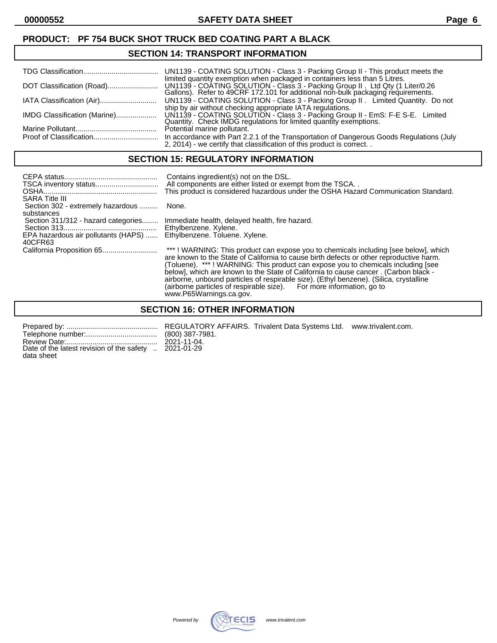#### **SECTION 14: TRANSPORT INFORMATION**

|                              | UN1139 - COATING SOLUTION - Class 3 - Packing Group II - This product meets the                                                                                                                                |
|------------------------------|----------------------------------------------------------------------------------------------------------------------------------------------------------------------------------------------------------------|
|                              | limited quantity exemption when packaged in containers less than 5 Litres.                                                                                                                                     |
|                              | UN1139 - COATING SOLUTION - Class 3 - Packing Group II. Limited Quantity. Do not                                                                                                                               |
| IMDG Classification (Marine) | ship by air without checking appropriate IATA regulations.<br>UN1139 - COATING SOLUTION - Class 3 - Packing Group II - EmS: F-E S-E. Limited Quantity. Check IMDG regulations for limited quantity exemptions. |
|                              | Potential marine pollutant.                                                                                                                                                                                    |
|                              | In accordance with Part 2.2.1 of the Transportation of Dangerous Goods Regulations (July<br>2, 2014) - we certify that classification of this product is correct. .                                            |

#### **SECTION 15: REGULATORY INFORMATION**

| <b>SARA Title III</b>                                                                 | Contains ingredient(s) not on the DSL.<br>All components are either listed or exempt from the TSCA<br>This product is considered hazardous under the OSHA Hazard Communication Standard.                                                                                                                                                                                                                                                                                                                                    |
|---------------------------------------------------------------------------------------|-----------------------------------------------------------------------------------------------------------------------------------------------------------------------------------------------------------------------------------------------------------------------------------------------------------------------------------------------------------------------------------------------------------------------------------------------------------------------------------------------------------------------------|
| Section 302 - extremely hazardous<br>substances                                       | None.                                                                                                                                                                                                                                                                                                                                                                                                                                                                                                                       |
| Section 311/312 - hazard categories<br>EPA hazardous air pollutants (HAPS)<br>40CFR63 | Immediate health, delayed health, fire hazard.<br>Ethylbenzene. Xylene.<br>Ethylbenzene. Toluene. Xylene.                                                                                                                                                                                                                                                                                                                                                                                                                   |
|                                                                                       | ***! WARNING: This product can expose you to chemicals including [see below], which<br>are known to the State of California to cause birth defects or other reproductive harm.<br>(Toluene). ***! WARNING: This product can expose you to chemicals including [see<br>below], which are known to the State of California to cause cancer. (Carbon black -<br>airborne, unbound particles of respirable size). (Ethyl benzene). (Silica, crystalline<br>(airborne particles of respirable size). For more information, go to |

www.P65Warnings.ca.gov.

### **SECTION 16: OTHER INFORMATION**

| Date of the latest revision of the safety  2021-01-29 |  |  |
|-------------------------------------------------------|--|--|
| data sheet                                            |  |  |

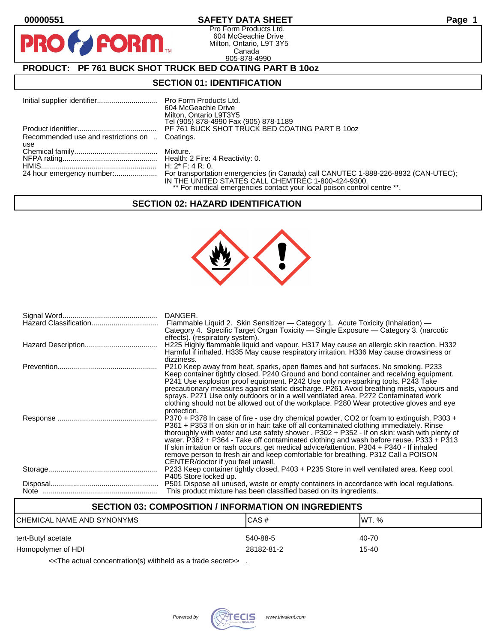**PR** 

#### **00000551 SAFETY DATA SHEET Page 1**

Pro Form Products Ltd. 604 McGeachie Drive Milton, Ontario, L9T 3Y5 Canada 905-878-4990

# **PRODUCT: PF 761 BUCK SHOT TRUCK BED COATING PART B 10oz**

**FORM.** 

#### **SECTION 01: IDENTIFICATION**

|                                                | 604 McGeachie Drive<br>Milton, Ontario L9T3Y5<br>Tel (905) 878-4990 Fax (905) 878-1189                                        |
|------------------------------------------------|-------------------------------------------------------------------------------------------------------------------------------|
|                                                | PF 761 BUCK SHOT TRUCK BED COATING PART B 10oz                                                                                |
| Recommended use and restrictions on  Coatings. |                                                                                                                               |
| use                                            |                                                                                                                               |
|                                                |                                                                                                                               |
|                                                |                                                                                                                               |
|                                                |                                                                                                                               |
|                                                | IN THE UNITED STATES CALL CHEMTREC 1-800-424-9300.<br>** For medical emergencies contact your local poison control centre **. |

#### **SECTION 02: HAZARD IDENTIFICATION**



| DANGER.<br>Flammable Liquid 2. Skin Sensitizer — Category 1. Acute Toxicity (Inhalation) —<br>Category 4. Specific Target Organ Toxicity — Single Exposure — Category 3. (narcotic                                                                                                                                                                                                                                                                                                                                                                                                                   |
|------------------------------------------------------------------------------------------------------------------------------------------------------------------------------------------------------------------------------------------------------------------------------------------------------------------------------------------------------------------------------------------------------------------------------------------------------------------------------------------------------------------------------------------------------------------------------------------------------|
| effects). (respiratory system).<br>H225 Highly flammable liquid and vapour. H317 May cause an allergic skin reaction. H332<br>Harmful if inhaled. H335 May cause respiratory irritation. H336 May cause drowsiness or                                                                                                                                                                                                                                                                                                                                                                                |
| dizziness.<br>P210 Keep away from heat, sparks, open flames and hot surfaces. No smoking. P233<br>Keep container tightly closed. P240 Ground and bond container and receiving equipment.<br>P241 Use explosion proof equipment. P242 Use only non-sparking tools. P243 Take<br>precautionary measures against static discharge. P261 Avoid breathing mists, vapours and<br>sprays. P271 Use only outdoors or in a well ventilated area. P272 Contaminated work<br>clothing should not be allowed out of the workplace. P280 Wear protective gloves and eye<br>protection.                            |
| P370 + P378 In case of fire - use dry chemical powder, CO2 or foam to extinguish. P303 +<br>P361 + P353 If on skin or in hair: take off all contaminated clothing immediately. Rinse<br>thoroughly with water and use safety shower . P302 + P352 - If on skin: wash with plenty of<br>water. P362 + P364 - Take off contaminated clothing and wash before reuse. P333 + P313<br>If skin irritation or rash occurs, get medical advice/attention. P304 + P340 - If inhaled<br>remove person to fresh air and keep comfortable for breathing. P312 Call a POISON<br>CENTER/doctor if you feel unwell. |
| P233 Keep container tightly closed. P403 + P235 Store in well ventilated area. Keep cool.<br>P405 Store locked up.                                                                                                                                                                                                                                                                                                                                                                                                                                                                                   |
| P501 Dispose all unused, waste or empty containers in accordance with local regulations.<br>This product mixture has been classified based on its ingredients.                                                                                                                                                                                                                                                                                                                                                                                                                                       |

#### **SECTION 03: COMPOSITION / INFORMATION ON INGREDIENTS**

| ICHEMICAL NAME AND SYNONYMS | ICAS#      | IWT. % |
|-----------------------------|------------|--------|
| tert-Butyl acetate          | 540-88-5   | 40-70  |
| Homopolymer of HDI          | 28182-81-2 | 15-40  |

<<The actual concentration(s) withheld as a trade secret>> .

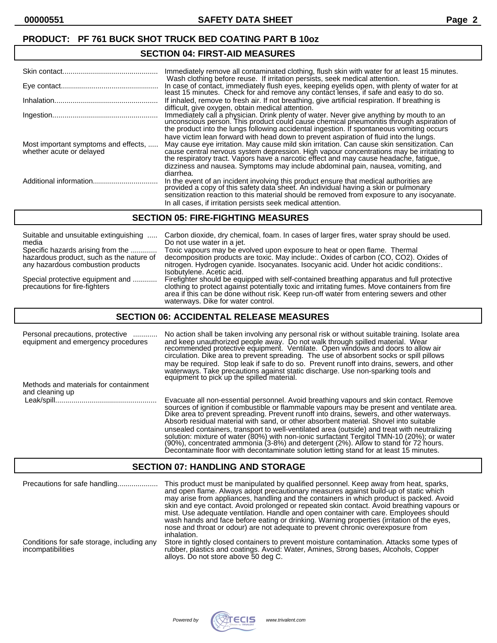#### **SECTION 04: FIRST-AID MEASURES**

|                                                                  | Immediately remove all contaminated clothing, flush skin with water for at least 15 minutes.<br>Wash clothing before reuse. If irritation persists, seek medical attention.                                                                                                                                                                                                                                                                                                 |
|------------------------------------------------------------------|-----------------------------------------------------------------------------------------------------------------------------------------------------------------------------------------------------------------------------------------------------------------------------------------------------------------------------------------------------------------------------------------------------------------------------------------------------------------------------|
|                                                                  | In case of contact, immediately flush eyes, keeping eyelids open, with plenty of water for at<br>least 15 minutes. Check for and remove any contact lenses, if safe and easy to do so.                                                                                                                                                                                                                                                                                      |
|                                                                  | If inhaled, remove to fresh air. If not breathing, give artificial respiration. If breathing is<br>difficult, give oxygen, obtain medical attention.                                                                                                                                                                                                                                                                                                                        |
|                                                                  | Immediately call a physician. Drink plenty of water. Never give anything by mouth to an<br>unconscious person. This product could cause chemical pneumonitis through aspiration of<br>the product into the lungs following accidental ingestion. If spontaneous vomiting occurs                                                                                                                                                                                             |
| Most important symptoms and effects,<br>whether acute or delayed | have victim lean forward with head down to prevent aspiration of fluid into the lungs.<br>May cause eye irritation. May cause mild skin irritation. Can cause skin sensitization. Can<br>cause central nervous system depression. High vapour concentrations may be irritating to<br>the respiratory tract. Vapors have a narcotic effect and may cause headache, fatigue,<br>dizziness and nausea. Symptoms may include abdominal pain, nausea, vomiting, and<br>diarrhea. |
|                                                                  | In the event of an incident involving this product ensure that medical authorities are provided a copy of this safety data sheet. An individual having a skin or pulmonary<br>sensitization reaction to this material should be removed from exposure to any isocyanate.<br>In all cases, if irritation persists seek medical attention.                                                                                                                                    |

#### **SECTION 05: FIRE-FIGHTING MEASURES**

| Suitable and unsuitable extinguishing                             | Carbon dioxide, dry chemical, foam. In cases of larger fires, water spray should be used.                                                                                                                                                                                                                                     |
|-------------------------------------------------------------------|-------------------------------------------------------------------------------------------------------------------------------------------------------------------------------------------------------------------------------------------------------------------------------------------------------------------------------|
| media                                                             | Do not use water in a jet.                                                                                                                                                                                                                                                                                                    |
| Specific hazards arising from the                                 | Toxic vapours may be evolved upon exposure to heat or open flame. Thermal                                                                                                                                                                                                                                                     |
| hazardous product, such as the nature of                          | decomposition products are toxic. May include: Oxides of carbon (CO, CO2). Oxides of                                                                                                                                                                                                                                          |
| any hazardous combustion products                                 | nitrogen. Hydrogen cyanide. Isocyanates. Isocyanic acid. Under hot acidic conditions:.<br>Isobutylene. Acetic acid.                                                                                                                                                                                                           |
| Special protective equipment and<br>precautions for fire-fighters | Firefighter should be equipped with self-contained breathing apparatus and full protective<br>clothing to protect against potentially toxic and irritating fumes. Move containers from fire<br>area if this can be done without risk. Keep run-off water from entering sewers and other<br>waterways. Dike for water control. |

#### **SECTION 06: ACCIDENTAL RELEASE MEASURES**

| Personal precautions, protective<br>equipment and emergency procedures | No action shall be taken involving any personal risk or without suitable training. Isolate area<br>and keep unauthorized people away. Do not walk through spilled material. Wear<br>recommended protective equipment. Ventilate. Open windows and doors to allow air<br>circulation. Dike area to prevent spreading. The use of absorbent socks or spill pillows<br>may be required. Stop leak if safe to do so. Prevent runoff into drains, sewers, and other<br>waterways. Take precautions against static discharge. Use non-sparking tools and<br>equipment to pick up the spilled material.                                                               |
|------------------------------------------------------------------------|----------------------------------------------------------------------------------------------------------------------------------------------------------------------------------------------------------------------------------------------------------------------------------------------------------------------------------------------------------------------------------------------------------------------------------------------------------------------------------------------------------------------------------------------------------------------------------------------------------------------------------------------------------------|
| Methods and materials for containment<br>and cleaning up               |                                                                                                                                                                                                                                                                                                                                                                                                                                                                                                                                                                                                                                                                |
|                                                                        | Evacuate all non-essential personnel. Avoid breathing vapours and skin contact. Remove<br>sources of ignition if combustible or flammable vapours may be present and ventilate area.<br>Dike area to prevent spreading. Prevent runoff into drains, sewers, and other waterways.<br>Absorb residual material with sand, or other absorbent material. Shovel into suitable<br>unsealed containers, transport to well-ventilated area (outside) and treat with neutralizing<br>solution: mixture of water (80%) with non-ionic surfactant Tergitol TMN-10 (20%); or water<br>(90%), concentrated ammonia (3-8%) and detergent (2%). Allow to stand for 72 hours. |

#### **SECTION 07: HANDLING AND STORAGE**

| Precautions for safe handling                                   | This product must be manipulated by qualified personnel. Keep away from heat, sparks,<br>and open flame. Always adopt precautionary measures against build-up of static which<br>may arise from appliances, handling and the containers in which product is packed. Avoid<br>skin and eye contact. Avoid prolonged or repeated skin contact. Avoid breathing vapours or<br>mist. Use adequate ventilation. Handle and open container with care. Employees should<br>wash hands and face before eating or drinking. Warning properties (irritation of the eyes,<br>nose and throat or odour) are not adequate to prevent chronic overexposure from<br>inhalation. |
|-----------------------------------------------------------------|------------------------------------------------------------------------------------------------------------------------------------------------------------------------------------------------------------------------------------------------------------------------------------------------------------------------------------------------------------------------------------------------------------------------------------------------------------------------------------------------------------------------------------------------------------------------------------------------------------------------------------------------------------------|
| Conditions for safe storage, including any<br>incompatibilities | Store in tightly closed containers to prevent moisture contamination. Attacks some types of<br>rubber, plastics and coatings. Avoid: Water, Amines, Strong bases, Alcohols, Copper<br>alloys. Do not store above 50 deg C.                                                                                                                                                                                                                                                                                                                                                                                                                                       |



Decontaminate floor with decontaminate solution letting stand for at least 15 minutes.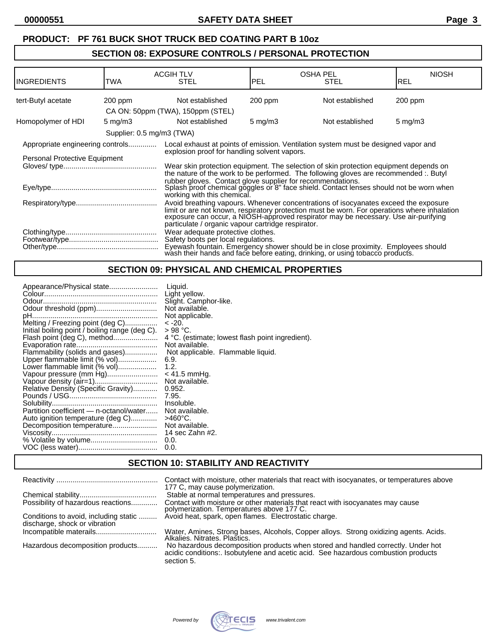# **SECTION 08: EXPOSURE CONTROLS / PERSONAL PROTECTION**

| <b>INGREDIENTS</b>               | TWA                       | <b>ACGIH TLV</b><br><b>STEL</b>                                                                                                                                                                                                                                                                                                  | <b>PEL</b>       | <b>OSHA PEL</b><br><b>STEL</b> | <b>NIOSH</b><br>IREL |
|----------------------------------|---------------------------|----------------------------------------------------------------------------------------------------------------------------------------------------------------------------------------------------------------------------------------------------------------------------------------------------------------------------------|------------------|--------------------------------|----------------------|
| tert-Butyl acetate               | 200 ppm                   | Not established                                                                                                                                                                                                                                                                                                                  | $200$ ppm        | Not established                | 200 ppm              |
|                                  |                           | CA ON: 50ppm (TWA), 150ppm (STEL)                                                                                                                                                                                                                                                                                                |                  |                                |                      |
| Homopolymer of HDI               | $5 \text{ mg/m}$ 3        | Not established                                                                                                                                                                                                                                                                                                                  | $5 \text{ mg/m}$ | Not established                | $5 \text{ mg/m}$     |
|                                  | Supplier: 0.5 mg/m3 (TWA) |                                                                                                                                                                                                                                                                                                                                  |                  |                                |                      |
| Appropriate engineering controls |                           | Local exhaust at points of emission. Ventilation system must be designed vapor and                                                                                                                                                                                                                                               |                  |                                |                      |
| Personal Protective Equipment    |                           | explosion proof for handling solvent vapors.                                                                                                                                                                                                                                                                                     |                  |                                |                      |
|                                  |                           | Wear skin protection equipment. The selection of skin protection equipment depends on<br>the nature of the work to be performed. The following gloves are recommended :. Butyl                                                                                                                                                   |                  |                                |                      |
|                                  |                           | rubber gloves. Contact glove supplier for recommendations.<br>Splash proof chemical goggles or 8" face shield. Contact lenses should not be worn when<br>working with this chemical.                                                                                                                                             |                  |                                |                      |
|                                  |                           | Avoid breathing vapours. Whenever concentrations of isocyanates exceed the exposure<br>limit or are not known, respiratory protection must be worn. For operations where inhalation<br>exposure can occur, a NIOSH-approved respirator may be necessary. Use air-purifying<br>particulate / organic vapour cartridge respirator. |                  |                                |                      |
|                                  |                           | Wear adequate protective clothes.<br>Safety boots per local regulations.<br>Eyewash fountain. Emergency shower should be in close proximity. Employees should<br>wash their hands and face before eating, drinking, or using tobacco products.                                                                                   |                  |                                |                      |

# **SECTION 09: PHYSICAL AND CHEMICAL PROPERTIES**

# **SECTION 10: STABILITY AND REACTIVITY**

|                                                                        | Contact with moisture, other materials that react with isocyanates, or temperatures above<br>177 C, may cause polymerization.                                                       |
|------------------------------------------------------------------------|-------------------------------------------------------------------------------------------------------------------------------------------------------------------------------------|
|                                                                        | Stable at normal temperatures and pressures.                                                                                                                                        |
| Possibility of hazardous reactions                                     | Contact with moisture or other materials that react with isocyanates may cause<br>polymerization. Temperatures above 177 C.                                                         |
| Conditions to avoid, including static<br>discharge, shock or vibration | Avoid heat, spark, open flames. Electrostatic charge.                                                                                                                               |
|                                                                        | Water, Amines, Strong bases, Alcohols, Copper alloys. Strong oxidizing agents. Acids.<br>Alkalies, Nitrates, Plastics.                                                              |
| Hazardous decomposition products                                       | No hazardous decomposition products when stored and handled correctly. Under hot<br>acidic conditions: Isobutylene and acetic acid. See hazardous combustion products<br>section 5. |

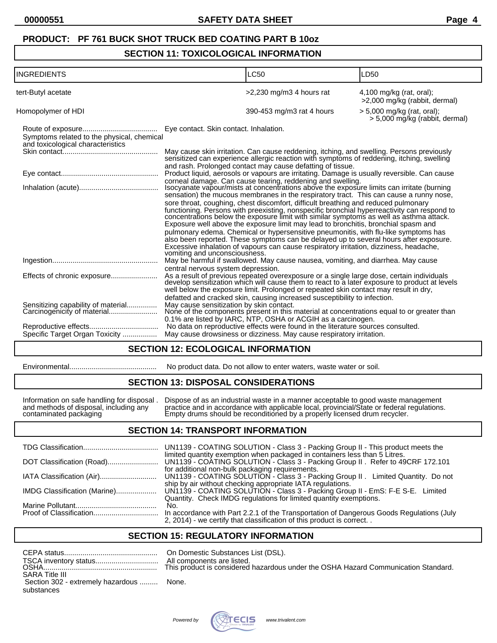#### **SECTION 11: TOXICOLOGICAL INFORMATION**

| <b>INGREDIENTS</b>                                                              | <b>LC50</b>                                                                                                                                                                                                                                                                                                                                                                                                                                                                                                                                                                                                                                                                                                                                                                                                                                                                                                                     | LD50                                                         |
|---------------------------------------------------------------------------------|---------------------------------------------------------------------------------------------------------------------------------------------------------------------------------------------------------------------------------------------------------------------------------------------------------------------------------------------------------------------------------------------------------------------------------------------------------------------------------------------------------------------------------------------------------------------------------------------------------------------------------------------------------------------------------------------------------------------------------------------------------------------------------------------------------------------------------------------------------------------------------------------------------------------------------|--------------------------------------------------------------|
| tert-Butyl acetate                                                              | >2,230 mg/m3 4 hours rat                                                                                                                                                                                                                                                                                                                                                                                                                                                                                                                                                                                                                                                                                                                                                                                                                                                                                                        | $4,100$ mg/kg (rat, oral);<br>>2,000 mg/kg (rabbit, dermal)  |
| Homopolymer of HDI                                                              | 390-453 mg/m3 rat 4 hours                                                                                                                                                                                                                                                                                                                                                                                                                                                                                                                                                                                                                                                                                                                                                                                                                                                                                                       | > 5,000 mg/kg (rat, oral);<br>> 5,000 mg/kg (rabbit, dermal) |
| Symptoms related to the physical, chemical<br>and toxicological characteristics | Eye contact. Skin contact. Inhalation.                                                                                                                                                                                                                                                                                                                                                                                                                                                                                                                                                                                                                                                                                                                                                                                                                                                                                          |                                                              |
|                                                                                 | May cause skin irritation. Can cause reddening, itching, and swelling. Persons previously sensitized can experience allergic reaction with symptoms of reddening, itching, swelling<br>and rash. Prolonged contact may cause defatting of tissue.                                                                                                                                                                                                                                                                                                                                                                                                                                                                                                                                                                                                                                                                               |                                                              |
|                                                                                 | Product liquid, aerosols or vapours are irritating. Damage is usually reversible. Can cause                                                                                                                                                                                                                                                                                                                                                                                                                                                                                                                                                                                                                                                                                                                                                                                                                                     |                                                              |
|                                                                                 | corneal damage. Can cause tearing, reddening and swelling.<br>Isocyanate vapour/mists at concentrations above the exposure limits can irritate (burning<br>sensation) the mucous membranes in the respiratory tract. This can cause a runny nose,<br>sore throat, coughing, chest discomfort, difficult breathing and reduced pulmonary<br>functioning. Persons with preexisting, nonspecific bronchial hyperreactivity can respond to concentrations below the exposure limit with similar symptoms as well as asthma attack.<br>Exposure well above the exposure limit may lead to bronchitis, bronchial spasm and<br>pulmonary edema. Chemical or hypersensitive pneumonitis, with flu-like symptoms has<br>also been reported. These symptoms can be delayed up to several hours after exposure.<br>Excessive inhalation of vapours can cause respiratory irritation, dizziness, headache,<br>vomiting and unconsciousness. |                                                              |
|                                                                                 | May be harmful if swallowed. May cause nausea, vomiting, and diarrhea. May cause<br>central nervous system depression.                                                                                                                                                                                                                                                                                                                                                                                                                                                                                                                                                                                                                                                                                                                                                                                                          |                                                              |
| Effects of chronic exposure                                                     | As a result of previous repeated overexposure or a single large dose, certain individuals develop sensitization which will cause them to react to a later exposure to product at levels<br>well below the exposure limit. Prolonged or repeated skin contact may result in dry,<br>defatted and cracked skin, causing increased susceptibility to infection.                                                                                                                                                                                                                                                                                                                                                                                                                                                                                                                                                                    |                                                              |
| Sensitizing capability of material<br>Carcinogenicity of material               | May cause sensitization by skin contact.<br>None of the components present in this material at concentrations equal to or greater than<br>0.1% are listed by IARC, NTP, OSHA or ACGIH as a carcinogen.                                                                                                                                                                                                                                                                                                                                                                                                                                                                                                                                                                                                                                                                                                                          |                                                              |
|                                                                                 | No data on reproductive effects were found in the literature sources consulted.                                                                                                                                                                                                                                                                                                                                                                                                                                                                                                                                                                                                                                                                                                                                                                                                                                                 |                                                              |
| Specific Target Organ Toxicity                                                  | May cause drowsiness or dizziness. May cause respiratory irritation.                                                                                                                                                                                                                                                                                                                                                                                                                                                                                                                                                                                                                                                                                                                                                                                                                                                            |                                                              |

#### **SECTION 12: ECOLOGICAL INFORMATION**

| Environmental |  |
|---------------|--|
|---------------|--|

#### Environmental........................................... No product data. Do not allow to enter waters, waste water or soil.

#### **SECTION 13: DISPOSAL CONSIDERATIONS**

Information on safe handling for disposal . Dispose of as an industrial waste in a manner acceptable to good waste management and methods of disposal, including any practice and in accordance with applicable local, provincial/State or federal regulations. contaminated packaging Empty drums should be reconditioned by a properly licensed drum recycler.

#### **SECTION 14: TRANSPORT INFORMATION**

|                              | UN1139 - COATING SOLUTION - Class 3 - Packing Group II - This product meets the<br>limited quantity exemption when packaged in containers less than 5 Litres.              |
|------------------------------|----------------------------------------------------------------------------------------------------------------------------------------------------------------------------|
|                              | for additional non-bulk packaging requirements.                                                                                                                            |
| IATA Classification (Air)    | UN1139 - COATING SOLUTION - Class 3 - Packing Group II . Limited Quantity. Do not<br>ship by air without checking appropriate IATA regulations.                            |
| IMDG Classification (Marine) | UN1139 - COATING SOLUTION - Class 3 - Packing Group II - EmS: F-E S-E. Limited<br>Quantity. Check IMDG regulations for limited quantity exemptions.                        |
|                              | No.<br>In accordance with Part 2.2.1 of the Transportation of Dangerous Goods Regulations (July<br>2, 2014) - we certify that classification of this product is correct. . |

# **SECTION 15: REGULATORY INFORMATION**

|                                          | All con |
|------------------------------------------|---------|
|                                          |         |
| <b>SARA Title III</b>                    |         |
| Section 302 - extremely hazardous  None. |         |
| substances                               |         |

On Domestic Substances List (DSL). All components are listed. his product is considered hazardous under the OSHA Hazard Communication Standard.